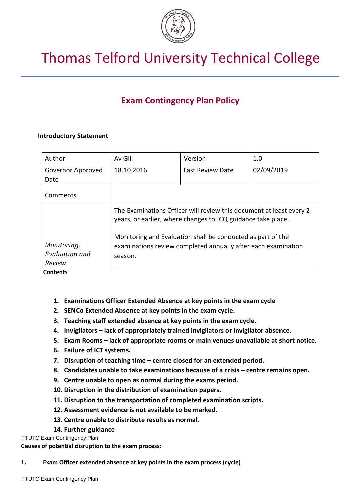

# Thomas Telford University Technical College

# **Exam Contingency Plan Policy**

# **Introductory Statement**

| Author                        | Av Gill                                                                                                                                                                                                                                                                        | Version          | 1.0        |
|-------------------------------|--------------------------------------------------------------------------------------------------------------------------------------------------------------------------------------------------------------------------------------------------------------------------------|------------------|------------|
| Governor Approved<br>Date     | 18.10.2016                                                                                                                                                                                                                                                                     | Last Review Date | 02/09/2019 |
| Comments                      |                                                                                                                                                                                                                                                                                |                  |            |
| Monitoring,<br>Evaluation and | The Examinations Officer will review this document at least every 2<br>years, or earlier, where changes to JCQ guidance take place.<br>Monitoring and Evaluation shall be conducted as part of the<br>examinations review completed annually after each examination<br>season. |                  |            |
| Review                        |                                                                                                                                                                                                                                                                                |                  |            |

**Contents**

- **1. Examinations Officer Extended Absence at key points in the exam cycle**
- **2. SENCo Extended Absence at key points in the exam cycle.**
- **3. Teaching staff extended absence at key points in the exam cycle.**
- **4. Invigilators – lack of appropriately trained invigilators or invigilator absence.**
- **5. Exam Rooms – lack of appropriate rooms or main venues unavailable at short notice.**
- **6. Failure of ICT systems.**
- **7. Disruption of teaching time – centre closed for an extended period.**
- **8. Candidates unable to take examinations because of a crisis – centre remains open.**
- **9. Centre unable to open as normal during the exams period.**
- **10. Disruption in the distribution of examination papers.**
- **11. Disruption to the transportation of completed examination scripts.**
- **12. Assessment evidence is not available to be marked.**
- **13. Centre unable to distribute results as normal.**
- **14. Further guidance**

# TTUTC Exam Contingency Plan

**Causes of potential disruption to the exam process:**

**1. Exam Officer extended absence at key points in the exam process (cycle)**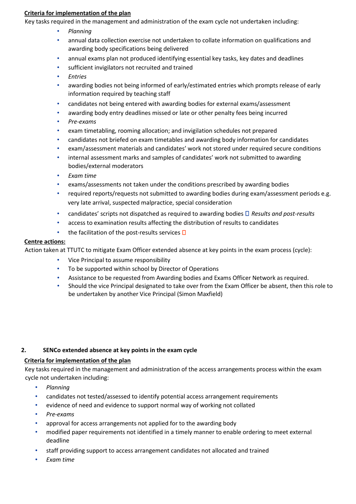# **Criteria for implementation of the plan**

Key tasks required in the management and administration of the exam cycle not undertaken including:

- *Planning*
- annual data collection exercise not undertaken to collate information on qualifications and awarding body specifications being delivered
- annual exams plan not produced identifying essential key tasks, key dates and deadlines
- sufficient invigilators not recruited and trained
- *Entries*
- awarding bodies not being informed of early/estimated entries which prompts release of early information required by teaching staff
- candidates not being entered with awarding bodies for external exams/assessment
- awarding body entry deadlines missed or late or other penalty fees being incurred
- *Pre-exams*
- exam timetabling, rooming allocation; and invigilation schedules not prepared
- candidates not briefed on exam timetables and awarding body information for candidates
- exam/assessment materials and candidates' work not stored under required secure conditions
- internal assessment marks and samples of candidates' work not submitted to awarding bodies/external moderators
- *Exam time*
- exams/assessments not taken under the conditions prescribed by awarding bodies
- required reports/requests not submitted to awarding bodies during exam/assessment periods e.g. very late arrival, suspected malpractice, special consideration
- candidates' scripts not dispatched as required to awarding bodies *Results and post-results*
- access to examination results affecting the distribution of results to candidates
- the facilitation of the post-results services  $\Box$

#### **Centre actions:**

Action taken at TTUTC to mitigate Exam Officer extended absence at key points in the exam process (cycle):

- Vice Principal to assume responsibility
- To be supported within school by Director of Operations
- Assistance to be requested from Awarding bodies and Exams Officer Network as required.
- Should the vice Principal designated to take over from the Exam Officer be absent, then this role to be undertaken by another Vice Principal (Simon Maxfield)

# **2. SENCo extended absence at key points in the exam cycle**

# **Criteria for implementation of the plan**

Key tasks required in the management and administration of the access arrangements process within the exam cycle not undertaken including:

- *Planning*
- candidates not tested/assessed to identify potential access arrangement requirements
- evidence of need and evidence to support normal way of working not collated
- *Pre-exams*
- approval for access arrangements not applied for to the awarding body
- modified paper requirements not identified in a timely manner to enable ordering to meet external deadline
- staff providing support to access arrangement candidates not allocated and trained
- *Exam time*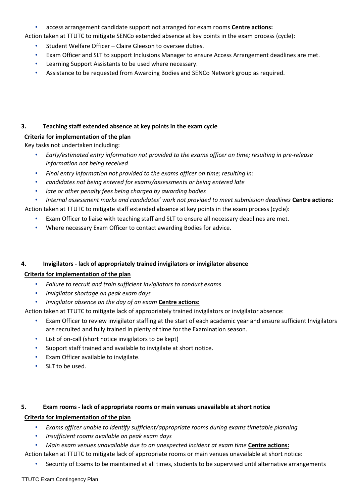• access arrangement candidate support not arranged for exam rooms **Centre actions:**

Action taken at TTUTC to mitigate SENCo extended absence at key points in the exam process (cycle):

- Student Welfare Officer Claire Gleeson to oversee duties.
- Exam Officer and SLT to support Inclusions Manager to ensure Access Arrangement deadlines are met.
- Learning Support Assistants to be used where necessary.
- Assistance to be requested from Awarding Bodies and SENCo Network group as required.

# **3. Teaching staff extended absence at key points in the exam cycle**

# **Criteria for implementation of the plan**

Key tasks not undertaken including:

- *Early/estimated entry information not provided to the exams officer on time; resulting in pre-release information not being received*
- *Final entry information not provided to the exams officer on time; resulting in:*
- *candidates not being entered for exams/assessments or being entered late*
- *late or other penalty fees being charged by awarding bodies*
- *Internal assessment marks and candidates' work not provided to meet submission deadlines* **Centre actions:**

Action taken at TTUTC to mitigate staff extended absence at key points in the exam process (cycle):

- Exam Officer to liaise with teaching staff and SLT to ensure all necessary deadlines are met.
- Where necessary Exam Officer to contact awarding Bodies for advice.

# **4. Invigilators - lack of appropriately trained invigilators or invigilator absence**

# **Criteria for implementation of the plan**

- *Failure to recruit and train sufficient invigilators to conduct exams*
- *Invigilator shortage on peak exam days*
- *Invigilator absence on the day of an exam* **Centre actions:**

Action taken at TTUTC to mitigate lack of appropriately trained invigilators or invigilator absence:

- Exam Officer to review invigilator staffing at the start of each academic year and ensure sufficient Invigilators are recruited and fully trained in plenty of time for the Examination season.
- List of on-call (short notice invigilators to be kept)
- Support staff trained and available to invigilate at short notice.
- Exam Officer available to invigilate.
- SLT to be used.

# **5. Exam rooms - lack of appropriate rooms or main venues unavailable at short notice**

# **Criteria for implementation of the plan**

- *Exams officer unable to identify sufficient/appropriate rooms during exams timetable planning*
- *Insufficient rooms available on peak exam days*
- Main exam venues unavailable due to an unexpected incident at exam time **Centre actions:**

Action taken at TTUTC to mitigate lack of appropriate rooms or main venues unavailable at short notice:

• Security of Exams to be maintained at all times, students to be supervised until alternative arrangements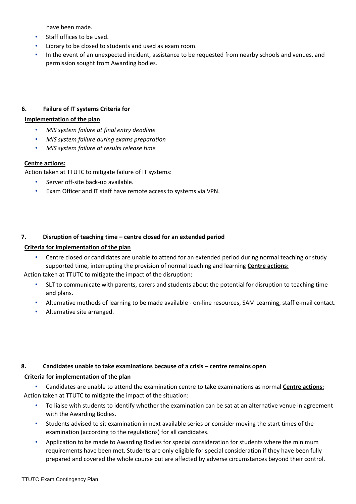have been made.

- Staff offices to be used.
- Library to be closed to students and used as exam room.
- In the event of an unexpected incident, assistance to be requested from nearby schools and venues, and permission sought from Awarding bodies.

# **6. Failure of IT systems Criteria for**

# **implementation of the plan**

- *MIS system failure at final entry deadline*
- *MIS system failure during exams preparation*
- *MIS system failure at results release time*

# **Centre actions:**

Action taken at TTUTC to mitigate failure of IT systems:

- Server off-site back-up available.
- Exam Officer and IT staff have remote access to systems via VPN.

# **7. Disruption of teaching time – centre closed for an extended period**

# **Criteria for implementation of the plan**

• Centre closed or candidates are unable to attend for an extended period during normal teaching or study supported time, interrupting the provision of normal teaching and learning **Centre actions:**

Action taken at TTUTC to mitigate the impact of the disruption:

- SLT to communicate with parents, carers and students about the potential for disruption to teaching time and plans.
- Alternative methods of learning to be made available on-line resources, SAM Learning, staff e-mail contact.
- Alternative site arranged.

# **8. Candidates unable to take examinations because of a crisis – centre remains open**

# **Criteria for implementation of the plan**

• Candidates are unable to attend the examination centre to take examinations as normal **Centre actions:** Action taken at TTUTC to mitigate the impact of the situation:

- To liaise with students to identify whether the examination can be sat at an alternative venue in agreement with the Awarding Bodies.
- Students advised to sit examination in next available series or consider moving the start times of the examination (according to the regulations) for all candidates.
- Application to be made to Awarding Bodies for special consideration for students where the minimum requirements have been met. Students are only eligible for special consideration if they have been fully prepared and covered the whole course but are affected by adverse circumstances beyond their control.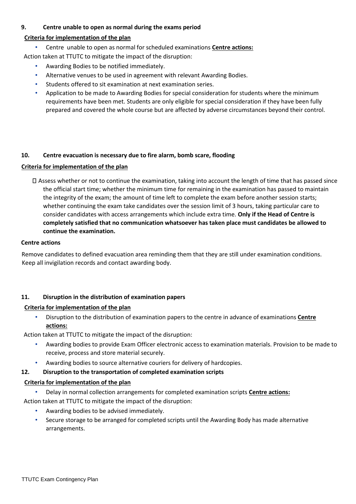## **9. Centre unable to open as normal during the exams period**

# **Criteria for implementation of the plan**

• Centre unable to open as normal for scheduled examinations **Centre actions:**

Action taken at TTUTC to mitigate the impact of the disruption:

- Awarding Bodies to be notified immediately.
- Alternative venues to be used in agreement with relevant Awarding Bodies.
- Students offered to sit examination at next examination series.
- Application to be made to Awarding Bodies for special consideration for students where the minimum requirements have been met. Students are only eligible for special consideration if they have been fully prepared and covered the whole course but are affected by adverse circumstances beyond their control.

# **10. Centre evacuation is necessary due to fire alarm, bomb scare, flooding**

# **Criteria for implementation of the plan**

Assess whether or not to continue the examination, taking into account the length of time that has passed since the official start time; whether the minimum time for remaining in the examination has passed to maintain the integrity of the exam; the amount of time left to complete the exam before another session starts; whether continuing the exam take candidates over the session limit of 3 hours, taking particular care to consider candidates with access arrangements which include extra time. **Only if the Head of Centre is completely satisfied that no communication whatsoever has taken place must candidates be allowed to continue the examination.**

#### **Centre actions**

Remove candidates to defined evacuation area reminding them that they are still under examination conditions. Keep all invigilation records and contact awarding body.

# **11. Disruption in the distribution of examination papers**

# **Criteria for implementation of the plan**

• Disruption to the distribution of examination papers to the centre in advance of examinations **Centre actions:**

Action taken at TTUTC to mitigate the impact of the disruption:

- Awarding bodies to provide Exam Officer electronic access to examination materials. Provision to be made to receive, process and store material securely.
- Awarding bodies to source alternative couriers for delivery of hardcopies.

# **12. Disruption to the transportation of completed examination scripts**

# **Criteria for implementation of the plan**

• Delay in normal collection arrangements for completed examination scripts **Centre actions:**

Action taken at TTUTC to mitigate the impact of the disruption:

- Awarding bodies to be advised immediately.
- Secure storage to be arranged for completed scripts until the Awarding Body has made alternative arrangements.